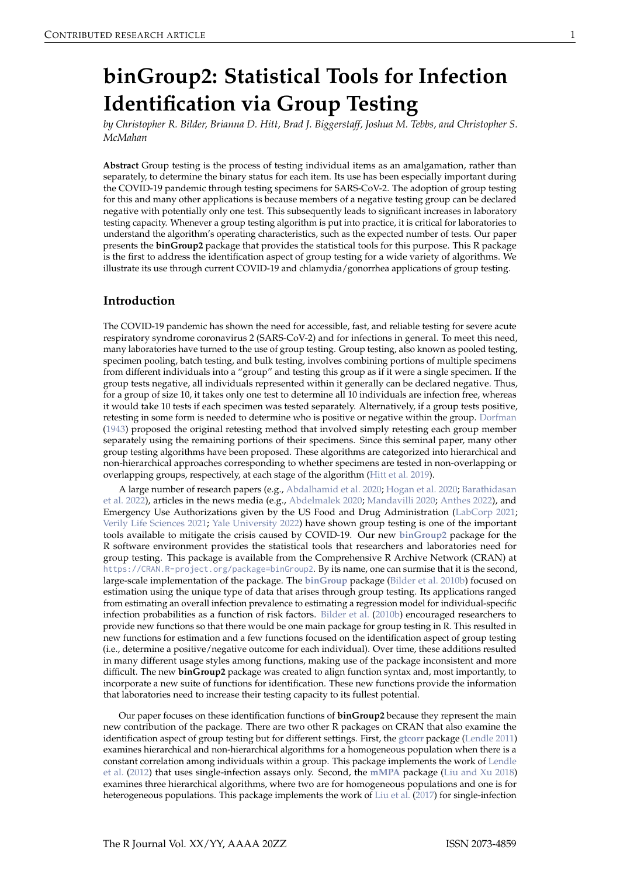# <span id="page-0-0"></span>**binGroup2: Statistical Tools for Infection Identification via Group Testing**

*by Christopher R. Bilder, Brianna D. Hitt, Brad J. Biggerstaff, Joshua M. Tebbs, and Christopher S. McMahan*

**Abstract** Group testing is the process of testing individual items as an amalgamation, rather than separately, to determine the binary status for each item. Its use has been especially important during the COVID-19 pandemic through testing specimens for SARS-CoV-2. The adoption of group testing for this and many other applications is because members of a negative testing group can be declared negative with potentially only one test. This subsequently leads to significant increases in laboratory testing capacity. Whenever a group testing algorithm is put into practice, it is critical for laboratories to understand the algorithm's operating characteristics, such as the expected number of tests. Our paper presents the **binGroup2** package that provides the statistical tools for this purpose. This R package is the first to address the identification aspect of group testing for a wide variety of algorithms. We illustrate its use through current COVID-19 and chlamydia/gonorrhea applications of group testing.

## **Introduction**

The COVID-19 pandemic has shown the need for accessible, fast, and reliable testing for severe acute respiratory syndrome coronavirus 2 (SARS-CoV-2) and for infections in general. To meet this need, many laboratories have turned to the use of group testing. Group testing, also known as pooled testing, specimen pooling, batch testing, and bulk testing, involves combining portions of multiple specimens from different individuals into a "group" and testing this group as if it were a single specimen. If the group tests negative, all individuals represented within it generally can be declared negative. Thus, for a group of size 10, it takes only one test to determine all 10 individuals are infection free, whereas it would take 10 tests if each specimen was tested separately. Alternatively, if a group tests positive, retesting in some form is needed to determine who is positive or negative within the group. [Dorfman](#page-14-0) [\(1943\)](#page-14-0) proposed the original retesting method that involved simply retesting each group member separately using the remaining portions of their specimens. Since this seminal paper, many other group testing algorithms have been proposed. These algorithms are categorized into hierarchical and non-hierarchical approaches corresponding to whether specimens are tested in non-overlapping or overlapping groups, respectively, at each stage of the algorithm [\(Hitt et al.](#page-14-1) [2019\)](#page-14-1).

A large number of research papers (e.g., [Abdalhamid et al.](#page-12-0) [2020;](#page-12-0) [Hogan et al.](#page-14-2) [2020;](#page-14-2) [Barathidasan](#page-13-0) [et al.](#page-13-0) [2022\)](#page-13-0), articles in the news media (e.g., [Abdelmalek](#page-12-1) [2020;](#page-12-1) [Mandavilli](#page-15-0) [2020;](#page-15-0) [Anthes](#page-13-1) [2022\)](#page-13-1), and Emergency Use Authorizations given by the US Food and Drug Administration [\(LabCorp](#page-14-3) [2021;](#page-14-3) [Verily Life Sciences](#page-15-1) [2021;](#page-15-1) [Yale University](#page-15-2) [2022\)](#page-15-2) have shown group testing is one of the important tools available to mitigate the crisis caused by COVID-19. Our new **[binGroup2](https://CRAN.R-project.org/package=binGroup2)** package for the R software environment provides the statistical tools that researchers and laboratories need for group testing. This package is available from the Comprehensive R Archive Network (CRAN) at <https://CRAN.R-project.org/package=binGroup2>. By its name, one can surmise that it is the second, large-scale implementation of the package. The **[binGroup](https://CRAN.R-project.org/package=binGroup)** package [\(Bilder et al.](#page-13-2) [2010b\)](#page-13-2) focused on estimation using the unique type of data that arises through group testing. Its applications ranged from estimating an overall infection prevalence to estimating a regression model for individual-specific infection probabilities as a function of risk factors. [Bilder et al.](#page-13-2) [\(2010b\)](#page-13-2) encouraged researchers to provide new functions so that there would be one main package for group testing in R. This resulted in new functions for estimation and a few functions focused on the identification aspect of group testing (i.e., determine a positive/negative outcome for each individual). Over time, these additions resulted in many different usage styles among functions, making use of the package inconsistent and more difficult. The new **binGroup2** package was created to align function syntax and, most importantly, to incorporate a new suite of functions for identification. These new functions provide the information that laboratories need to increase their testing capacity to its fullest potential.

Our paper focuses on these identification functions of **binGroup2** because they represent the main new contribution of the package. There are two other R packages on CRAN that also examine the identification aspect of group testing but for different settings. First, the **[gtcorr](https://CRAN.R-project.org/package=gtcorr)** package [\(Lendle](#page-14-4) [2011\)](#page-14-4) examines hierarchical and non-hierarchical algorithms for a homogeneous population when there is a constant correlation among individuals within a group. This package implements the work of [Lendle](#page-14-5) [et al.](#page-14-5) [\(2012\)](#page-14-5) that uses single-infection assays only. Second, the **[mMPA](https://CRAN.R-project.org/package=mMPA)** package [\(Liu and Xu](#page-14-6) [2018\)](#page-14-6) examines three hierarchical algorithms, where two are for homogeneous populations and one is for heterogeneous populations. This package implements the work of [Liu et al.](#page-14-7) [\(2017\)](#page-14-7) for single-infection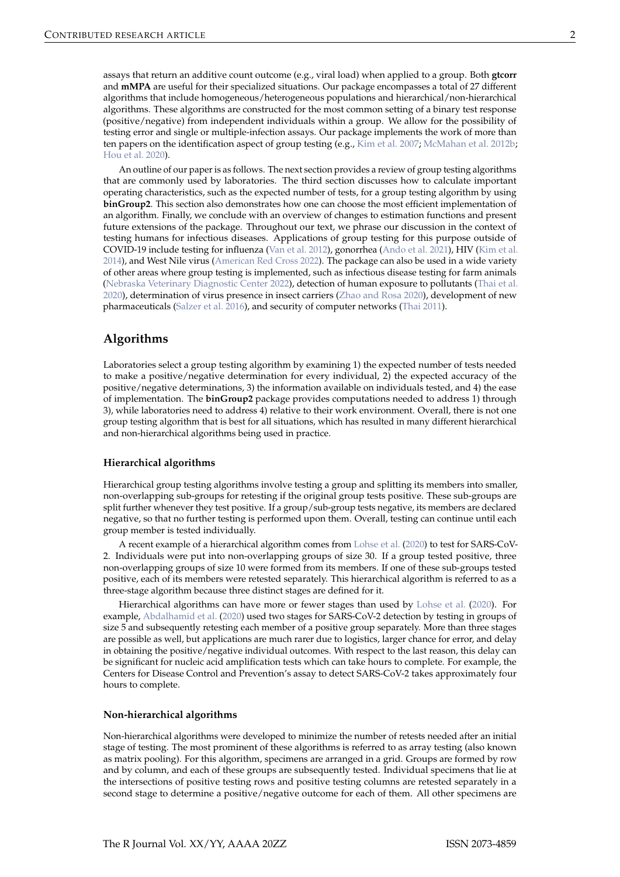<span id="page-1-0"></span>assays that return an additive count outcome (e.g., viral load) when applied to a group. Both **gtcorr** and **mMPA** are useful for their specialized situations. Our package encompasses a total of 27 different algorithms that include homogeneous/heterogeneous populations and hierarchical/non-hierarchical algorithms. These algorithms are constructed for the most common setting of a binary test response (positive/negative) from independent individuals within a group. We allow for the possibility of testing error and single or multiple-infection assays. Our package implements the work of more than ten papers on the identification aspect of group testing (e.g., [Kim et al.](#page-14-8) [2007;](#page-14-8) [McMahan et al.](#page-15-3) [2012b;](#page-15-3) [Hou et al.](#page-14-9) [2020\)](#page-14-9).

An outline of our paper is as follows. The next section provides a review of group testing algorithms that are commonly used by laboratories. The third section discusses how to calculate important operating characteristics, such as the expected number of tests, for a group testing algorithm by using **binGroup2**. This section also demonstrates how one can choose the most efficient implementation of an algorithm. Finally, we conclude with an overview of changes to estimation functions and present future extensions of the package. Throughout our text, we phrase our discussion in the context of testing humans for infectious diseases. Applications of group testing for this purpose outside of COVID-19 include testing for influenza [\(Van et al.](#page-15-4) [2012\)](#page-15-4), gonorrhea [\(Ando et al.](#page-12-2) [2021\)](#page-12-2), HIV [\(Kim et al.](#page-14-10) [2014\)](#page-14-10), and West Nile virus [\(American Red Cross](#page-12-3) [2022\)](#page-12-3). The package can also be used in a wide variety of other areas where group testing is implemented, such as infectious disease testing for farm animals [\(Nebraska Veterinary Diagnostic Center](#page-15-5) [2022\)](#page-15-5), detection of human exposure to pollutants [\(Thai et al.](#page-15-6) [2020\)](#page-15-6), determination of virus presence in insect carriers [\(Zhao and Rosa](#page-15-7) [2020\)](#page-15-7), development of new pharmaceuticals [\(Salzer et al.](#page-15-8) [2016\)](#page-15-8), and security of computer networks [\(Thai](#page-15-9) [2011\)](#page-15-9).

## **Algorithms**

Laboratories select a group testing algorithm by examining 1) the expected number of tests needed to make a positive/negative determination for every individual, 2) the expected accuracy of the positive/negative determinations, 3) the information available on individuals tested, and 4) the ease of implementation. The **binGroup2** package provides computations needed to address 1) through 3), while laboratories need to address 4) relative to their work environment. Overall, there is not one group testing algorithm that is best for all situations, which has resulted in many different hierarchical and non-hierarchical algorithms being used in practice.

#### **Hierarchical algorithms**

Hierarchical group testing algorithms involve testing a group and splitting its members into smaller, non-overlapping sub-groups for retesting if the original group tests positive. These sub-groups are split further whenever they test positive. If a group/sub-group tests negative, its members are declared negative, so that no further testing is performed upon them. Overall, testing can continue until each group member is tested individually.

A recent example of a hierarchical algorithm comes from [Lohse et al.](#page-15-10) [\(2020\)](#page-15-10) to test for SARS-CoV-2. Individuals were put into non-overlapping groups of size 30. If a group tested positive, three non-overlapping groups of size 10 were formed from its members. If one of these sub-groups tested positive, each of its members were retested separately. This hierarchical algorithm is referred to as a three-stage algorithm because three distinct stages are defined for it.

Hierarchical algorithms can have more or fewer stages than used by [Lohse et al.](#page-15-10) [\(2020\)](#page-15-10). For example, [Abdalhamid et al.](#page-12-0) [\(2020\)](#page-12-0) used two stages for SARS-CoV-2 detection by testing in groups of size 5 and subsequently retesting each member of a positive group separately. More than three stages are possible as well, but applications are much rarer due to logistics, larger chance for error, and delay in obtaining the positive/negative individual outcomes. With respect to the last reason, this delay can be significant for nucleic acid amplification tests which can take hours to complete. For example, the Centers for Disease Control and Prevention's assay to detect SARS-CoV-2 takes approximately four hours to complete.

#### **Non-hierarchical algorithms**

Non-hierarchical algorithms were developed to minimize the number of retests needed after an initial stage of testing. The most prominent of these algorithms is referred to as array testing (also known as matrix pooling). For this algorithm, specimens are arranged in a grid. Groups are formed by row and by column, and each of these groups are subsequently tested. Individual specimens that lie at the intersections of positive testing rows and positive testing columns are retested separately in a second stage to determine a positive/negative outcome for each of them. All other specimens are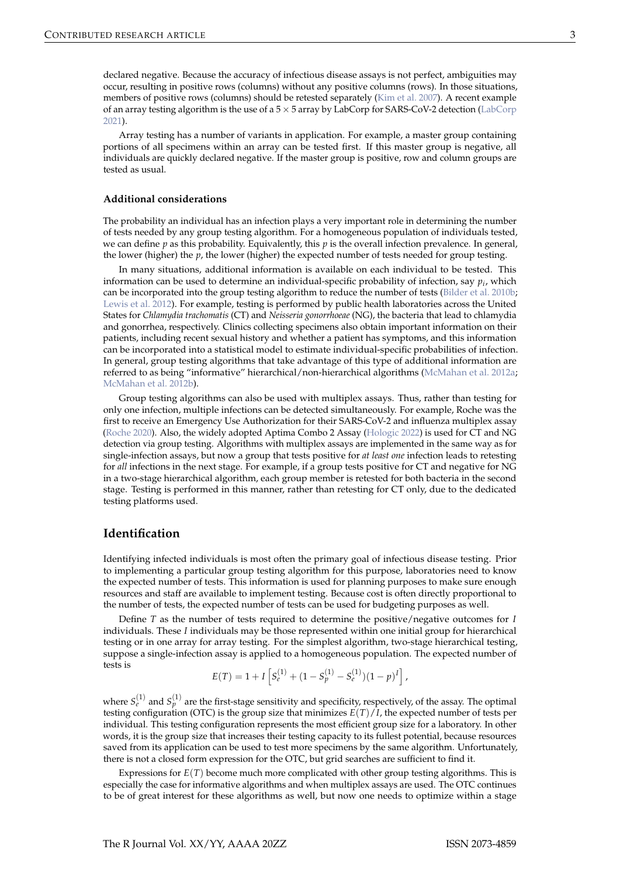<span id="page-2-0"></span>declared negative. Because the accuracy of infectious disease assays is not perfect, ambiguities may occur, resulting in positive rows (columns) without any positive columns (rows). In those situations, members of positive rows (columns) should be retested separately [\(Kim et al.](#page-14-8) [2007\)](#page-14-8). A recent example of an array testing algorithm is the use of a  $5 \times 5$  array by LabCorp for SARS-CoV-2 detection [\(LabCorp](#page-14-3) [2021\)](#page-14-3).

Array testing has a number of variants in application. For example, a master group containing portions of all specimens within an array can be tested first. If this master group is negative, all individuals are quickly declared negative. If the master group is positive, row and column groups are tested as usual.

#### **Additional considerations**

The probability an individual has an infection plays a very important role in determining the number of tests needed by any group testing algorithm. For a homogeneous population of individuals tested, we can define *p* as this probability. Equivalently, this *p* is the overall infection prevalence. In general, the lower (higher) the *p*, the lower (higher) the expected number of tests needed for group testing.

In many situations, additional information is available on each individual to be tested. This information can be used to determine an individual-specific probability of infection, say *p<sup>i</sup>* , which can be incorporated into the group testing algorithm to reduce the number of tests [\(Bilder et al.](#page-13-2) [2010b;](#page-13-2) [Lewis et al.](#page-14-11) [2012\)](#page-14-11). For example, testing is performed by public health laboratories across the United States for *Chlamydia trachomatis* (CT) and *Neisseria gonorrhoeae* (NG), the bacteria that lead to chlamydia and gonorrhea, respectively. Clinics collecting specimens also obtain important information on their patients, including recent sexual history and whether a patient has symptoms, and this information can be incorporated into a statistical model to estimate individual-specific probabilities of infection. In general, group testing algorithms that take advantage of this type of additional information are referred to as being "informative" hierarchical/non-hierarchical algorithms [\(McMahan et al.](#page-15-11) [2012a;](#page-15-11) [McMahan et al.](#page-15-3) [2012b\)](#page-15-3).

Group testing algorithms can also be used with multiplex assays. Thus, rather than testing for only one infection, multiple infections can be detected simultaneously. For example, Roche was the first to receive an Emergency Use Authorization for their SARS-CoV-2 and influenza multiplex assay [\(Roche](#page-15-12) [2020\)](#page-15-12). Also, the widely adopted Aptima Combo 2 Assay [\(Hologic](#page-14-12) [2022\)](#page-14-12) is used for CT and NG detection via group testing. Algorithms with multiplex assays are implemented in the same way as for single-infection assays, but now a group that tests positive for *at least one* infection leads to retesting for *all* infections in the next stage. For example, if a group tests positive for CT and negative for NG in a two-stage hierarchical algorithm, each group member is retested for both bacteria in the second stage. Testing is performed in this manner, rather than retesting for CT only, due to the dedicated testing platforms used.

## **Identification**

Identifying infected individuals is most often the primary goal of infectious disease testing. Prior to implementing a particular group testing algorithm for this purpose, laboratories need to know the expected number of tests. This information is used for planning purposes to make sure enough resources and staff are available to implement testing. Because cost is often directly proportional to the number of tests, the expected number of tests can be used for budgeting purposes as well.

Define *T* as the number of tests required to determine the positive/negative outcomes for *I* individuals. These *I* individuals may be those represented within one initial group for hierarchical testing or in one array for array testing. For the simplest algorithm, two-stage hierarchical testing, suppose a single-infection assay is applied to a homogeneous population. The expected number of tests is

$$
E(T) = 1 + I \left[ S_e^{(1)} + (1 - S_p^{(1)} - S_e^{(1)}) (1 - p)^I \right],
$$

where  $S_e^{(1)}$  and  $S_p^{(1)}$  are the first-stage sensitivity and specificity, respectively, of the assay. The optimal testing configuration (OTC) is the group size that minimizes  $E(T)/I$ , the expected number of tests per individual. This testing configuration represents the most efficient group size for a laboratory. In other words, it is the group size that increases their testing capacity to its fullest potential, because resources saved from its application can be used to test more specimens by the same algorithm. Unfortunately, there is not a closed form expression for the OTC, but grid searches are sufficient to find it.

Expressions for *E*(*T*) become much more complicated with other group testing algorithms. This is especially the case for informative algorithms and when multiplex assays are used. The OTC continues to be of great interest for these algorithms as well, but now one needs to optimize within a stage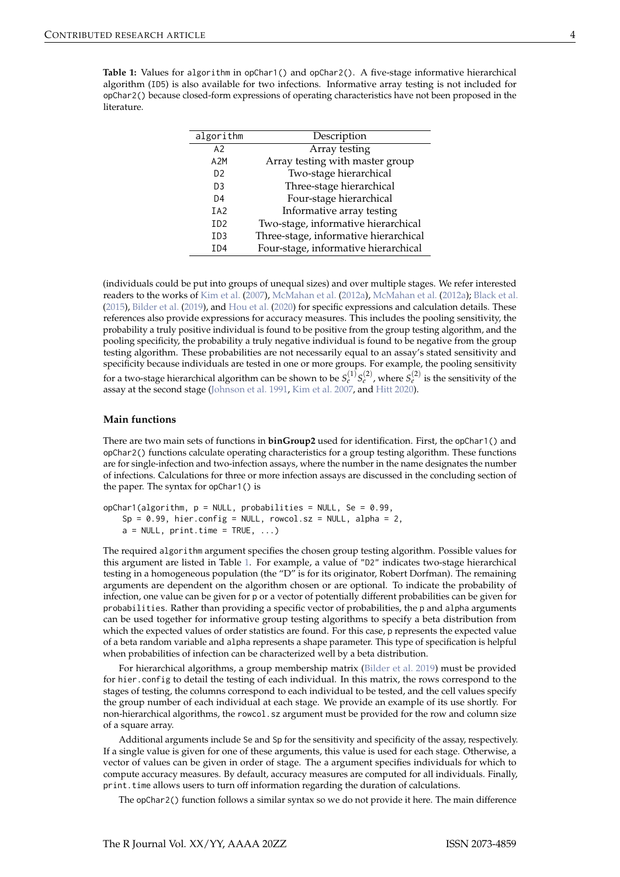<span id="page-3-1"></span><span id="page-3-0"></span>**Table 1:** Values for algorithm in opChar1() and opChar2(). A five-stage informative hierarchical algorithm (ID5) is also available for two infections. Informative array testing is not included for opChar2() because closed-form expressions of operating characteristics have not been proposed in the literature.

| algorithm                   | Description                           |
|-----------------------------|---------------------------------------|
| A2                          | Array testing                         |
| A2M                         | Array testing with master group       |
| D <sub>2</sub>              | Two-stage hierarchical                |
| D <sub>3</sub>              | Three-stage hierarchical              |
| D <sub>4</sub>              | Four-stage hierarchical               |
| IA <sub>2</sub>             | Informative array testing             |
| I <sub>D</sub> <sub>2</sub> | Two-stage, informative hierarchical   |
| ID <sub>3</sub>             | Three-stage, informative hierarchical |
| ID <sub>4</sub>             | Four-stage, informative hierarchical  |

(individuals could be put into groups of unequal sizes) and over multiple stages. We refer interested readers to the works of [Kim et al.](#page-14-8) [\(2007\)](#page-14-8), [McMahan et al.](#page-15-11) [\(2012a\)](#page-15-11), [McMahan et al.](#page-15-11) [\(2012a\)](#page-15-11); [Black et al.](#page-13-3) [\(2015\)](#page-13-3), [Bilder et al.](#page-13-4) [\(2019\)](#page-13-4), and [Hou et al.](#page-14-9) [\(2020\)](#page-14-9) for specific expressions and calculation details. These references also provide expressions for accuracy measures. This includes the pooling sensitivity, the probability a truly positive individual is found to be positive from the group testing algorithm, and the pooling specificity, the probability a truly negative individual is found to be negative from the group testing algorithm. These probabilities are not necessarily equal to an assay's stated sensitivity and specificity because individuals are tested in one or more groups. For example, the pooling sensitivity for a two-stage hierarchical algorithm can be shown to be  $S^{(1)}_\ell S^{(2)}_\ell$  , where  $S^{(2)}_\ell$  is the sensitivity of the assay at the second stage [\(Johnson et al.](#page-14-13) [1991,](#page-14-13) [Kim et al.](#page-14-8) [2007,](#page-14-8) and [Hitt](#page-14-14) [2020\)](#page-14-14).

#### **Main functions**

There are two main sets of functions in **binGroup2** used for identification. First, the opChar1() and opChar2() functions calculate operating characteristics for a group testing algorithm. These functions are for single-infection and two-infection assays, where the number in the name designates the number of infections. Calculations for three or more infection assays are discussed in the concluding section of the paper. The syntax for opChar1() is

```
opChar1(algorithm, p = NULL, probabilities = NULL, Se = 0.99,Sp = 0.99, hier.config = NULL, rowcol.sz = NULL, alpha = 2,
   a = NULL, print.time = TRUE, ...)
```
The required algorithm argument specifies the chosen group testing algorithm. Possible values for this argument are listed in Table [1.](#page-3-0) For example, a value of "D2" indicates two-stage hierarchical testing in a homogeneous population (the "D" is for its originator, Robert Dorfman). The remaining arguments are dependent on the algorithm chosen or are optional. To indicate the probability of infection, one value can be given for p or a vector of potentially different probabilities can be given for probabilities. Rather than providing a specific vector of probabilities, the p and alpha arguments can be used together for informative group testing algorithms to specify a beta distribution from which the expected values of order statistics are found. For this case, p represents the expected value of a beta random variable and alpha represents a shape parameter. This type of specification is helpful when probabilities of infection can be characterized well by a beta distribution.

For hierarchical algorithms, a group membership matrix [\(Bilder et al.](#page-13-4) [2019\)](#page-13-4) must be provided for hier.config to detail the testing of each individual. In this matrix, the rows correspond to the stages of testing, the columns correspond to each individual to be tested, and the cell values specify the group number of each individual at each stage. We provide an example of its use shortly. For non-hierarchical algorithms, the rowcol.sz argument must be provided for the row and column size of a square array.

Additional arguments include Se and Sp for the sensitivity and specificity of the assay, respectively. If a single value is given for one of these arguments, this value is used for each stage. Otherwise, a vector of values can be given in order of stage. The a argument specifies individuals for which to compute accuracy measures. By default, accuracy measures are computed for all individuals. Finally, print.time allows users to turn off information regarding the duration of calculations.

The opChar2() function follows a similar syntax so we do not provide it here. The main difference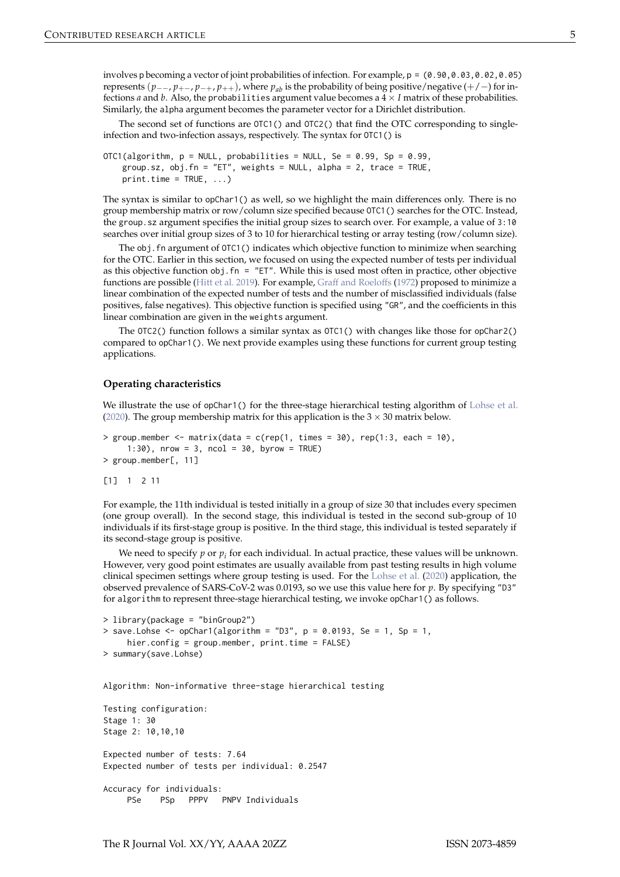<span id="page-4-0"></span>involves p becoming a vector of joint probabilities of infection. For example,  $p = (0.90, 0.03, 0.02, 0.05)$ represents  $(p_{-}, p_{+-}, p_{-+}, p_{++})$ , where  $p_{ab}$  is the probability of being positive/negative (+/−) for infections *a* and *b*. Also, the probabilities argument value becomes a  $4 \times I$  matrix of these probabilities. Similarly, the alpha argument becomes the parameter vector for a Dirichlet distribution.

The second set of functions are OTC1() and OTC2() that find the OTC corresponding to singleinfection and two-infection assays, respectively. The syntax for OTC1() is

```
OTC1(algorithm, p = NULL, probabilities = NULL, Se = 0.99, Sp = 0.99,
   group.sz, obj.fn = "ET", weights = NULL, alpha = 2, trace = TRUE,
   print.time = TRUE, ...
```
The syntax is similar to opChar1() as well, so we highlight the main differences only. There is no group membership matrix or row/column size specified because OTC1() searches for the OTC. Instead, the group.sz argument specifies the initial group sizes to search over. For example, a value of 3:10 searches over initial group sizes of 3 to 10 for hierarchical testing or array testing (row/column size).

The obj. fn argument of  $OTC1()$  indicates which objective function to minimize when searching for the OTC. Earlier in this section, we focused on using the expected number of tests per individual as this objective function obj.fn = "ET". While this is used most often in practice, other objective functions are possible [\(Hitt et al.](#page-14-1) [2019\)](#page-14-1). For example, [Graff and Roeloffs](#page-14-15) [\(1972\)](#page-14-15) proposed to minimize a linear combination of the expected number of tests and the number of misclassified individuals (false positives, false negatives). This objective function is specified using "GR", and the coefficients in this linear combination are given in the weights argument.

The OTC2() function follows a similar syntax as OTC1() with changes like those for opChar2() compared to opChar1(). We next provide examples using these functions for current group testing applications.

#### **Operating characteristics**

We illustrate the use of opChar1() for the three-stage hierarchical testing algorithm of [Lohse et al.](#page-15-10) [\(2020\)](#page-15-10). The group membership matrix for this application is the  $3 \times 30$  matrix below.

```
> group.member <- matrix(data = c(rep(1, times = 30), rep(1:3, each = 10),
     1:30), nrow = 3, ncol = 30, byrow = TRUE)
> group.member[, 11]
```
[1] 1 2 11

For example, the 11th individual is tested initially in a group of size 30 that includes every specimen (one group overall). In the second stage, this individual is tested in the second sub-group of 10 individuals if its first-stage group is positive. In the third stage, this individual is tested separately if its second-stage group is positive.

We need to specify  $p$  or  $p_i$  for each individual. In actual practice, these values will be unknown. However, very good point estimates are usually available from past testing results in high volume clinical specimen settings where group testing is used. For the [Lohse et al.](#page-15-10) [\(2020\)](#page-15-10) application, the observed prevalence of SARS-CoV-2 was 0.0193, so we use this value here for *p*. By specifying "D3" for algorithm to represent three-stage hierarchical testing, we invoke opChar1() as follows.

```
> library(package = "binGroup2")
> save.Lohse <- opChar1(algorithm = "D3", p = 0.0193, Se = 1, Sp = 1,
    hier.config = group.member, print.time = FALSE)
> summary(save.Lohse)
```
Algorithm: Non-informative three-stage hierarchical testing

```
Testing configuration:
Stage 1: 30
Stage 2: 10,10,10
Expected number of tests: 7.64
Expected number of tests per individual: 0.2547
Accuracy for individuals:
    PSe PSp PPPV PNPV Individuals
```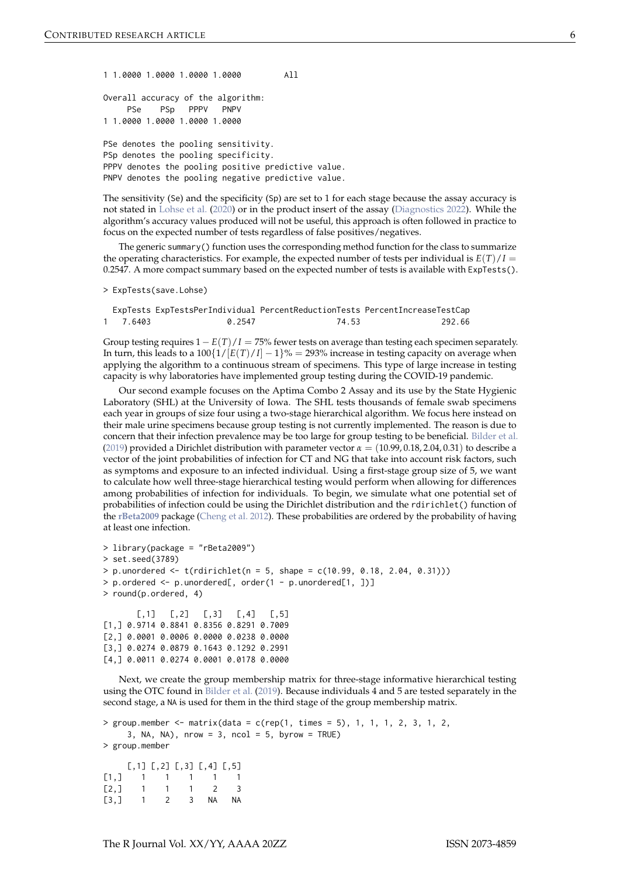<span id="page-5-0"></span>1 1.0000 1.0000 1.0000 1.0000 All

Overall accuracy of the algorithm: PSe PSp PPPV PNPV 1 1.0000 1.0000 1.0000 1.0000

PSe denotes the pooling sensitivity. PSp denotes the pooling specificity. PPPV denotes the pooling positive predictive value. PNPV denotes the pooling negative predictive value.

The sensitivity (Se) and the specificity (Sp) are set to 1 for each stage because the assay accuracy is not stated in [Lohse et al.](#page-15-10) [\(2020\)](#page-15-10) or in the product insert of the assay [\(Diagnostics](#page-14-16) [2022\)](#page-14-16). While the algorithm's accuracy values produced will not be useful, this approach is often followed in practice to focus on the expected number of tests regardless of false positives/negatives.

The generic summary() function uses the corresponding method function for the class to summarize the operating characteristics. For example, the expected number of tests per individual is  $E(T)/I =$ 0.2547. A more compact summary based on the expected number of tests is available with ExpTests().

> ExpTests(save.Lohse)

ExpTests ExpTestsPerIndividual PercentReductionTests PercentIncreaseTestCap 1 7.6403 0.2547 74.53 292.66

Group testing requires  $1 - E(T)/I = 75%$  fewer tests on average than testing each specimen separately. In turn, this leads to a  $100\{1/[E(T)/I] - 1\}$ % = 293% increase in testing capacity on average when applying the algorithm to a continuous stream of specimens. This type of large increase in testing capacity is why laboratories have implemented group testing during the COVID-19 pandemic.

Our second example focuses on the Aptima Combo 2 Assay and its use by the State Hygienic Laboratory (SHL) at the University of Iowa. The SHL tests thousands of female swab specimens each year in groups of size four using a two-stage hierarchical algorithm. We focus here instead on their male urine specimens because group testing is not currently implemented. The reason is due to concern that their infection prevalence may be too large for group testing to be beneficial. [Bilder et al.](#page-13-4) [\(2019\)](#page-13-4) provided a Dirichlet distribution with parameter vector  $\alpha = (10.99, 0.18, 2.04, 0.31)$  to describe a vector of the joint probabilities of infection for CT and NG that take into account risk factors, such as symptoms and exposure to an infected individual. Using a first-stage group size of 5, we want to calculate how well three-stage hierarchical testing would perform when allowing for differences among probabilities of infection for individuals. To begin, we simulate what one potential set of probabilities of infection could be using the Dirichlet distribution and the rdirichlet() function of the **[rBeta2009](https://CRAN.R-project.org/package=rBeta2009)** package [\(Cheng et al.](#page-13-5) [2012\)](#page-13-5). These probabilities are ordered by the probability of having at least one infection.

```
> library(package = "rBeta2009")
> set.seed(3789)
> p. unordered \leq t (rdirichlet(n = 5, shape = c(10.99, 0.18, 2.04, 0.31)))
> p.ordered <- p.unordered[, order(1 - p.unordered[1, ])]
> round(p.ordered, 4)
       [0,1] [0,2] [0,3] [0,4] [0,5]
```
[1,] 0.9714 0.8841 0.8356 0.8291 0.7009 [2,] 0.0001 0.0006 0.0000 0.0238 0.0000 [3,] 0.0274 0.0879 0.1643 0.1292 0.2991 [4,] 0.0011 0.0274 0.0001 0.0178 0.0000

Next, we create the group membership matrix for three-stage informative hierarchical testing using the OTC found in [Bilder et al.](#page-13-4) [\(2019\)](#page-13-4). Because individuals 4 and 5 are tested separately in the second stage, a NA is used for them in the third stage of the group membership matrix.

```
> group.member \leq matrix(data = c(rep(1, times = 5), 1, 1, 1, 2, 3, 1, 2,
    3, NA, NA), nrow = 3, ncol = 5, byrow = TRUE)
> group.member
    [0,1] [0,2] [0,3] [0,4] [0,5][1,] 1 1 1 1 1
[2,] 1 1 1 2 3
```
[3,] 1 2 3 NA NA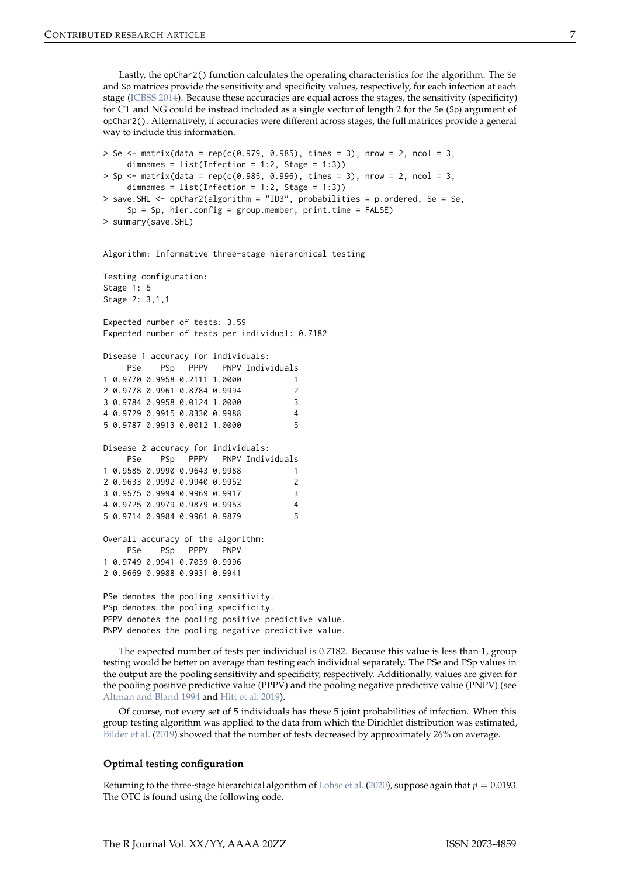<span id="page-6-0"></span>Lastly, the opChar2() function calculates the operating characteristics for the algorithm. The Se and Sp matrices provide the sensitivity and specificity values, respectively, for each infection at each stage [\(ICBSS](#page-14-17) [2014\)](#page-14-17). Because these accuracies are equal across the stages, the sensitivity (specificity) for CT and NG could be instead included as a single vector of length 2 for the Se (Sp) argument of opChar2(). Alternatively, if accuracies were different across stages, the full matrices provide a general way to include this information.

```
> Se <- matrix(data = rep(c(0.979, 0.985), times = 3), nrow = 2, ncol = 3,
    dimnames = list(Inflection = 1:2, Stage = 1:3))> Sp <- matrix(data = rep(c(0.985, 0.996), times = 3), nrow = 2, ncol = 3,
    dimnames = list(Inflection = 1:2, Stage = 1:3))> save.SHL <- opChar2(algorithm = "ID3", probabilities = p.ordered, Se = Se,
    Sp = Sp, hier.config = group.member, print.time = FALSE)
> summary(save.SHL)
```
Algorithm: Informative three-stage hierarchical testing

Testing configuration: Stage 1: 5 Stage 2: 3,1,1 Expected number of tests: 3.59 Expected number of tests per individual: 0.7182 Disease 1 accuracy for individuals: PSe PSp PPPV PNPV Individuals 1 0.9770 0.9958 0.2111 1.0000 1 2 0.9778 0.9961 0.8784 0.9994 2 3 0.9784 0.9958 0.0124 1.0000 3 4 0.9729 0.9915 0.8330 0.9988 4 5 0.9787 0.9913 0.0012 1.0000 5 Disease 2 accuracy for individuals: PSe PSp PPPV PNPV Individuals 1 0.9585 0.9990 0.9643 0.9988 1 2 0.9633 0.9992 0.9940 0.9952 2 3 0.9575 0.9994 0.9969 0.9917 3 4 0.9725 0.9979 0.9879 0.9953 4 5 0.9714 0.9984 0.9961 0.9879 5 Overall accuracy of the algorithm: PSe PSp PPPV PNPV 1 0.9749 0.9941 0.7039 0.9996 2 0.9669 0.9988 0.9931 0.9941 PSe denotes the pooling sensitivity. PSp denotes the pooling specificity. PPPV denotes the pooling positive predictive value. PNPV denotes the pooling negative predictive value.

The expected number of tests per individual is 0.7182. Because this value is less than 1, group testing would be better on average than testing each individual separately. The PSe and PSp values in the output are the pooling sensitivity and specificity, respectively. Additionally, values are given for the pooling positive predictive value (PPPV) and the pooling negative predictive value (PNPV) (see [Altman and Bland](#page-12-4) [1994](#page-12-4) and [Hitt et al.](#page-14-1) [2019\)](#page-14-1).

Of course, not every set of 5 individuals has these 5 joint probabilities of infection. When this group testing algorithm was applied to the data from which the Dirichlet distribution was estimated, [Bilder et al.](#page-13-4) [\(2019\)](#page-13-4) showed that the number of tests decreased by approximately 26% on average.

#### **Optimal testing configuration**

Returning to the three-stage hierarchical algorithm of [Lohse et al.](#page-15-10) [\(2020\)](#page-15-10), suppose again that  $p = 0.0193$ . The OTC is found using the following code.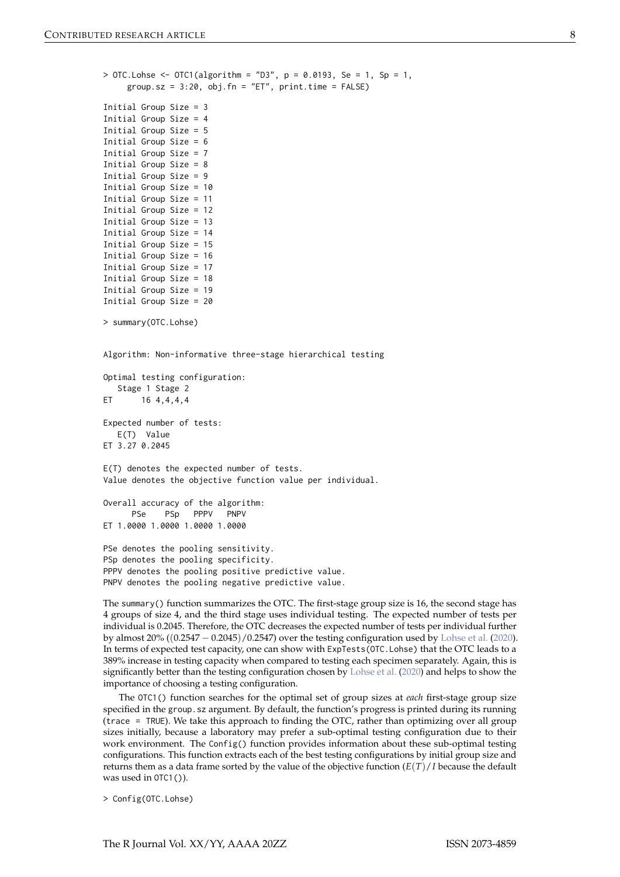<span id="page-7-0"></span> $>$  OTC. Lohse <- OTC1(algorithm = "D3", p = 0.0193, Se = 1, Sp = 1, group.sz =  $3:20$ , obj.fn = "ET", print.time = FALSE)

```
Initial Group Size = 3
Initial Group Size = 4
Initial Group Size = 5
Initial Group Size = 6
Initial Group Size = 7
Initial Group Size = 8
Initial Group Size = 9
Initial Group Size = 10
Initial Group Size = 11
Initial Group Size = 12
Initial Group Size = 13
Initial Group Size = 14
Initial Group Size = 15
Initial Group Size = 16
Initial Group Size = 17
Initial Group Size = 18
Initial Group Size = 19
Initial Group Size = 20
```

```
> summary(OTC.Lohse)
```
Algorithm: Non-informative three-stage hierarchical testing

Optimal testing configuration: Stage 1 Stage 2 ET 16 4, 4, 4, 4 Expected number of tests: E(T) Value ET 3.27 0.2045 E(T) denotes the expected number of tests. Value denotes the objective function value per individual. Overall accuracy of the algorithm:

PSe PSp PPPV PNPV ET 1.0000 1.0000 1.0000 1.0000

PSe denotes the pooling sensitivity. PSp denotes the pooling specificity. PPPV denotes the pooling positive predictive value. PNPV denotes the pooling negative predictive value.

The summary() function summarizes the OTC. The first-stage group size is 16, the second stage has 4 groups of size 4, and the third stage uses individual testing. The expected number of tests per individual is 0.2045. Therefore, the OTC decreases the expected number of tests per individual further by almost 20% ((0.2547 − 0.2045)/0.2547) over the testing configuration used by [Lohse et al.](#page-15-10) [\(2020\)](#page-15-10). In terms of expected test capacity, one can show with ExpTests(OTC.Lohse) that the OTC leads to a 389% increase in testing capacity when compared to testing each specimen separately. Again, this is significantly better than the testing configuration chosen by [Lohse et al.](#page-15-10) [\(2020\)](#page-15-10) and helps to show the importance of choosing a testing configuration.

The OTC1() function searches for the optimal set of group sizes at *each* first-stage group size specified in the group.sz argument. By default, the function's progress is printed during its running (trace = TRUE). We take this approach to finding the OTC, rather than optimizing over all group sizes initially, because a laboratory may prefer a sub-optimal testing configuration due to their work environment. The Config() function provides information about these sub-optimal testing configurations. This function extracts each of the best testing configurations by initial group size and returns them as a data frame sorted by the value of the objective function  $(E(T)/I)$  because the default was used in  $OTC1()$ ).

> Config(OTC.Lohse)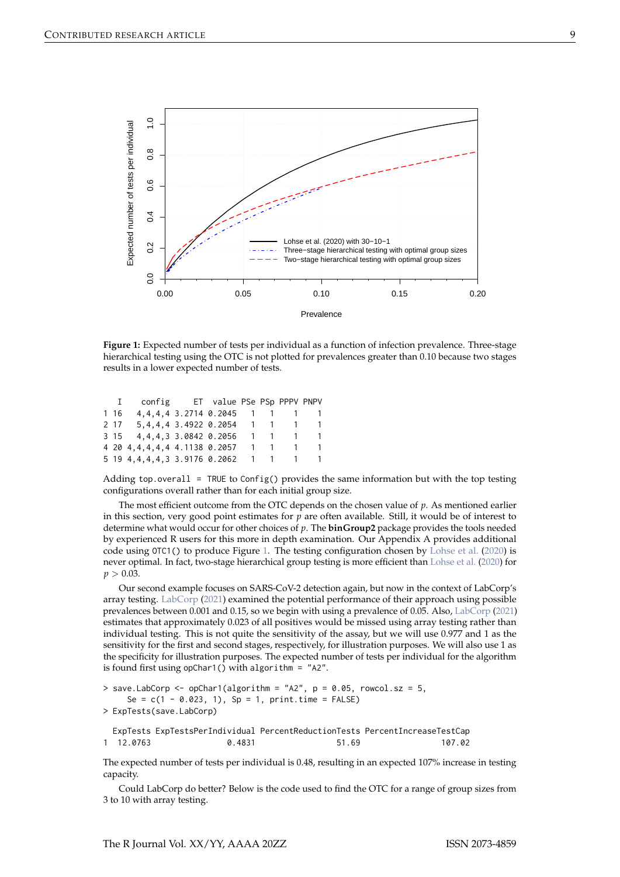<span id="page-8-1"></span><span id="page-8-0"></span>

**Figure 1:** Expected number of tests per individual as a function of infection prevalence. Three-stage hierarchical testing using the OTC is not plotted for prevalences greater than 0.10 because two stages results in a lower expected number of tests.

| $\mathbf{I}$ | config ET value PSe PSp PPPV PNPV          |  |  |         |
|--------------|--------------------------------------------|--|--|---------|
| 1 16         | 4, 4, 4, 4 3. 2714 0. 2045 1 1 1 1         |  |  |         |
|              | 2 17 5, 4, 4, 4 3, 4922 0. 2054 1 1 1 1    |  |  |         |
|              | 3 15 4, 4, 4, 3 3.0842 0.2056 1 1 1 1      |  |  |         |
|              | 4 20 4, 4, 4, 4, 4 4, 1138 0. 2057         |  |  | 1 1 1 1 |
|              | 5 19 4, 4, 4, 4, 3 3.9176 0.2062 1 1 1 1 1 |  |  |         |

Adding top.overall = TRUE to Config() provides the same information but with the top testing configurations overall rather than for each initial group size.

The most efficient outcome from the OTC depends on the chosen value of *p*. As mentioned earlier in this section, very good point estimates for *p* are often available. Still, it would be of interest to determine what would occur for other choices of *p*. The **binGroup2** package provides the tools needed by experienced R users for this more in depth examination. Our Appendix A provides additional code using OTC1() to produce Figure [1.](#page-8-0) The testing configuration chosen by [Lohse et al.](#page-15-10) [\(2020\)](#page-15-10) is never optimal. In fact, two-stage hierarchical group testing is more efficient than [Lohse et al.](#page-15-10) [\(2020\)](#page-15-10) for  $p > 0.03$ .

Our second example focuses on SARS-CoV-2 detection again, but now in the context of LabCorp's array testing. [LabCorp](#page-14-3) [\(2021\)](#page-14-3) examined the potential performance of their approach using possible prevalences between 0.001 and 0.15, so we begin with using a prevalence of 0.05. Also, [LabCorp](#page-14-3) [\(2021\)](#page-14-3) estimates that approximately 0.023 of all positives would be missed using array testing rather than individual testing. This is not quite the sensitivity of the assay, but we will use 0.977 and 1 as the sensitivity for the first and second stages, respectively, for illustration purposes. We will also use 1 as the specificity for illustration purposes. The expected number of tests per individual for the algorithm is found first using opChar1() with algorithm =  $"A2"$ .

```
> save.LabCorp <- opChar1(algorithm = "A2", p = 0.05, rowcol.sz = 5,
    Se = c(1 - 0.023, 1), Sp = 1, print.time = FALSE)
> ExpTests(save.LabCorp)
 ExpTests ExpTestsPerIndividual PercentReductionTests PercentIncreaseTestCap
1 12.0763 0.4831 51.69 107.02
```
The expected number of tests per individual is 0.48, resulting in an expected 107% increase in testing capacity.

Could LabCorp do better? Below is the code used to find the OTC for a range of group sizes from 3 to 10 with array testing.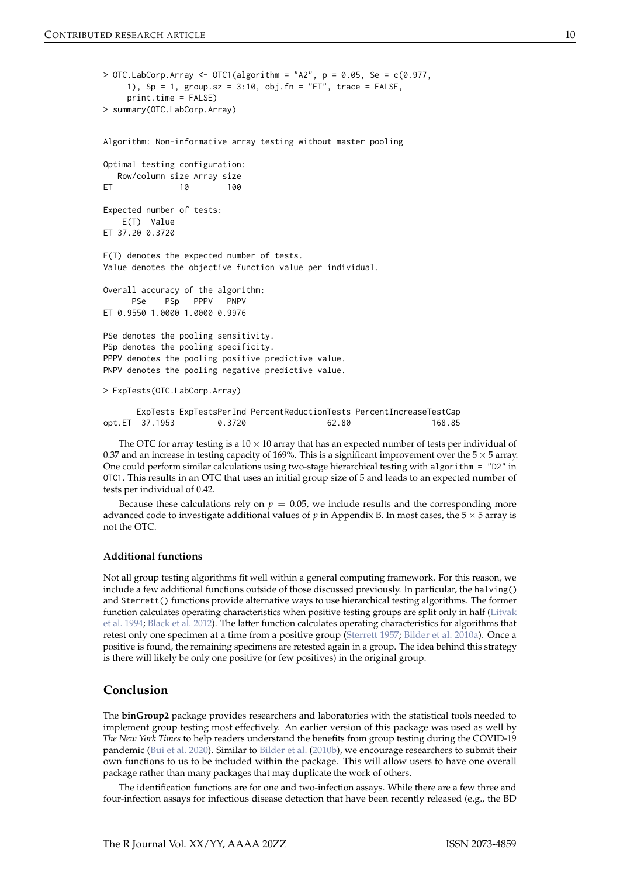```
> OTC. LabCorp. Array <- OTC1 (algorithm = "A2", p = 0.05, Se = c(0.977,
    1), Sp = 1, group.sz = 3:10, obj.fn = "ET", trace = FALSE,
    print.time = FALSE)
> summary(OTC.LabCorp.Array)
Algorithm: Non-informative array testing without master pooling
Optimal testing configuration:
  Row/column size Array size
ET 10 100
Expected number of tests:
   E(T) Value
ET 37.20 0.3720
E(T) denotes the expected number of tests.
Value denotes the objective function value per individual.
Overall accuracy of the algorithm:
     PSe PSp PPPV PNPV
ET 0.9550 1.0000 1.0000 0.9976
PSe denotes the pooling sensitivity.
PSp denotes the pooling specificity.
PPPV denotes the pooling positive predictive value.
PNPV denotes the pooling negative predictive value.
> ExpTests(OTC.LabCorp.Array)
      ExpTests ExpTestsPerInd PercentReductionTests PercentIncreaseTestCap
opt.ET 37.1953 0.3720 62.80 168.85
```
The OTC for array testing is a  $10 \times 10$  array that has an expected number of tests per individual of 0.37 and an increase in testing capacity of 169%. This is a significant improvement over the  $5 \times 5$  array. One could perform similar calculations using two-stage hierarchical testing with algorithm = "D2" in OTC1. This results in an OTC that uses an initial group size of 5 and leads to an expected number of tests per individual of 0.42.

Because these calculations rely on  $p = 0.05$ , we include results and the corresponding more advanced code to investigate additional values of  $p$  in Appendix B. In most cases, the  $5 \times 5$  array is not the OTC.

#### **Additional functions**

Not all group testing algorithms fit well within a general computing framework. For this reason, we include a few additional functions outside of those discussed previously. In particular, the halving() and Sterrett() functions provide alternative ways to use hierarchical testing algorithms. The former function calculates operating characteristics when positive testing groups are split only in half [\(Litvak](#page-14-18) [et al.](#page-14-18) [1994;](#page-14-18) [Black et al.](#page-13-6) [2012\)](#page-13-6). The latter function calculates operating characteristics for algorithms that retest only one specimen at a time from a positive group [\(Sterrett](#page-15-13) [1957;](#page-15-13) [Bilder et al.](#page-13-7) [2010a\)](#page-13-7). Once a positive is found, the remaining specimens are retested again in a group. The idea behind this strategy is there will likely be only one positive (or few positives) in the original group.

## **Conclusion**

The **binGroup2** package provides researchers and laboratories with the statistical tools needed to implement group testing most effectively. An earlier version of this package was used as well by *The New York Times* to help readers understand the benefits from group testing during the COVID-19 pandemic [\(Bui et al.](#page-13-8) [2020\)](#page-13-8). Similar to [Bilder et al.](#page-13-2) [\(2010b\)](#page-13-2), we encourage researchers to submit their own functions to us to be included within the package. This will allow users to have one overall package rather than many packages that may duplicate the work of others.

The identification functions are for one and two-infection assays. While there are a few three and four-infection assays for infectious disease detection that have been recently released (e.g., the BD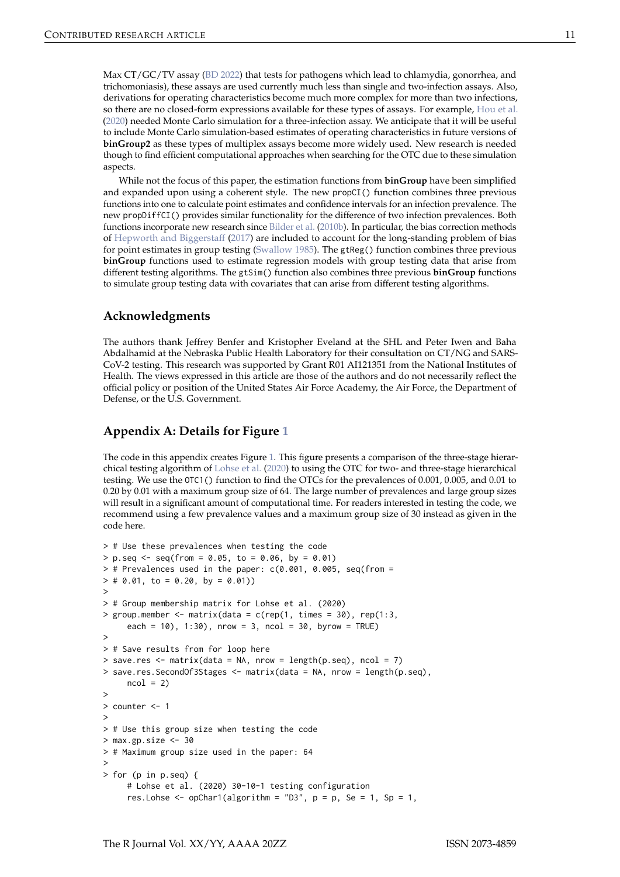<span id="page-10-0"></span>Max CT/GC/TV assay [\(BD](#page-13-9) [2022\)](#page-13-9) that tests for pathogens which lead to chlamydia, gonorrhea, and trichomoniasis), these assays are used currently much less than single and two-infection assays. Also, derivations for operating characteristics become much more complex for more than two infections, so there are no closed-form expressions available for these types of assays. For example, [Hou et al.](#page-14-9) [\(2020\)](#page-14-9) needed Monte Carlo simulation for a three-infection assay. We anticipate that it will be useful to include Monte Carlo simulation-based estimates of operating characteristics in future versions of **binGroup2** as these types of multiplex assays become more widely used. New research is needed though to find efficient computational approaches when searching for the OTC due to these simulation aspects.

While not the focus of this paper, the estimation functions from **binGroup** have been simplified and expanded upon using a coherent style. The new propCI() function combines three previous functions into one to calculate point estimates and confidence intervals for an infection prevalence. The new propDiffCI() provides similar functionality for the difference of two infection prevalences. Both functions incorporate new research since [Bilder et al.](#page-13-2) [\(2010b\)](#page-13-2). In particular, the bias correction methods of [Hepworth and Biggerstaff](#page-14-19) [\(2017\)](#page-14-19) are included to account for the long-standing problem of bias for point estimates in group testing [\(Swallow](#page-15-14) [1985\)](#page-15-14). The gtReg() function combines three previous **binGroup** functions used to estimate regression models with group testing data that arise from different testing algorithms. The gtSim() function also combines three previous **binGroup** functions to simulate group testing data with covariates that can arise from different testing algorithms.

### **Acknowledgments**

The authors thank Jeffrey Benfer and Kristopher Eveland at the SHL and Peter Iwen and Baha Abdalhamid at the Nebraska Public Health Laboratory for their consultation on CT/NG and SARS-CoV-2 testing. This research was supported by Grant R01 AI121351 from the National Institutes of Health. The views expressed in this article are those of the authors and do not necessarily reflect the official policy or position of the United States Air Force Academy, the Air Force, the Department of Defense, or the U.S. Government.

## **Appendix A: Details for Figure [1](#page-8-0)**

The code in this appendix creates Figure [1.](#page-8-0) This figure presents a comparison of the three-stage hierarchical testing algorithm of [Lohse et al.](#page-15-10) [\(2020\)](#page-15-10) to using the OTC for two- and three-stage hierarchical testing. We use the OTC1() function to find the OTCs for the prevalences of 0.001, 0.005, and 0.01 to 0.20 by 0.01 with a maximum group size of 64. The large number of prevalences and large group sizes will result in a significant amount of computational time. For readers interested in testing the code, we recommend using a few prevalence values and a maximum group size of 30 instead as given in the code here.

```
> # Use these prevalences when testing the code
> p \text{ .seq} \leq seq (from = 0.05, to = 0.06, by = 0.01)> # Prevalences used in the paper: c(0.001, 0.005, \text{seq}(\text{from} => # 0.01, to = 0.20, by = 0.01)
\overline{\phantom{a}}> # Group membership matrix for Lohse et al. (2020)
> group.member <- matrix(data = c(rep(1, times = 30), rep(1:3,
     each = 10), 1:30), nrow = 3, ncol = 30, byrow = TRUE)
\ddot{ }> # Save results from for loop here
> save.res \leq matrix(data = NA, nrow = length(p.seq), ncol = 7)
> save.res.SecondOf3Stages <- matrix(data = NA, nrow = length(p.seq),
     ncol = 2\overline{\phantom{a}}> counter <- 1
>
> # Use this group size when testing the code
> max.gp.size <-30> # Maximum group size used in the paper: 64
>
> for (p in p.seq) {
     # Lohse et al. (2020) 30-10-1 testing configuration
     res.Lohse \leq opChar1(algorithm = "D3", p = p, Se = 1, Sp = 1,
```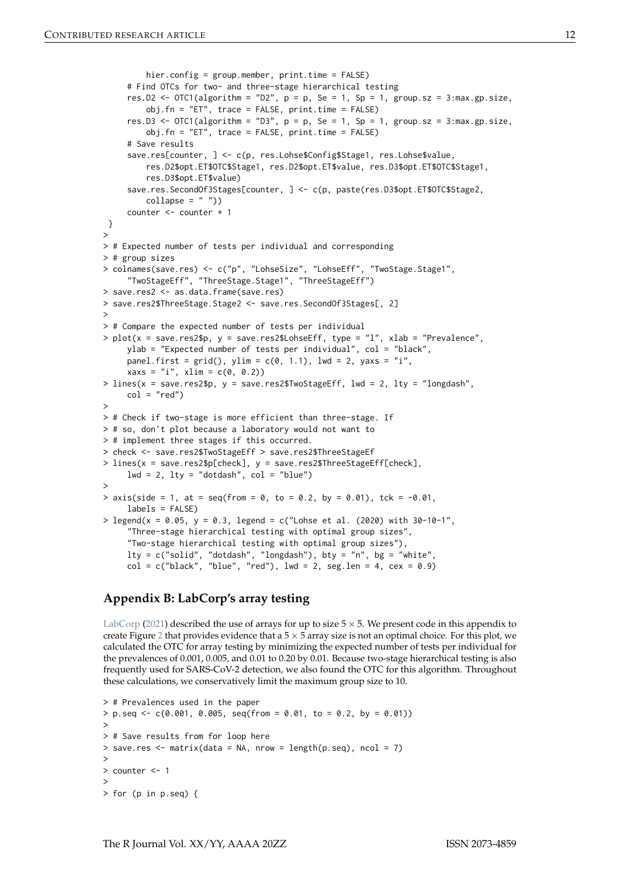```
hier.config = group.member, print.time = FALSE)
     # Find OTCs for two- and three-stage hierarchical testing
     res.D2 <- OTC1(algorithm = "D2", p = p, Se = 1, Sp = 1, group.sz = 3:max.gp.size,
         obj.fn = "ET", trace = FALSE, print.time = FALSE)
     res.D3 <- OTC1(algorithm = "D3", p = p, Se = 1, Sp = 1, group.sz = 3:max.gp.size,
         obj.fn = "ET", trace = FALSE, print.time = FALSE)# Save results
     save.res[counter, ] <- c(p, res.Lohse$Config$Stage1, res.Lohse$value,
         res.D2$opt.ET$OTC$Stage1, res.D2$opt.ET$value, res.D3$opt.ET$OTC$Stage1,
         res.D3$opt.ET$value)
     save.res.SecondOf3Stages[counter, ] <- c(p, paste(res.D3$opt.ET$OTC$Stage2,
         collapse = " "")counter <- counter + 1
 }
>
> # Expected number of tests per individual and corresponding
> # group sizes
> colnames(save.res) <- c("p", "LohseSize", "LohseEff", "TwoStage.Stage1",
     "TwoStageEff", "ThreeStage.Stage1", "ThreeStageEff")
> save.res2 <- as.data.frame(save.res)
> save.res2$ThreeStage.Stage2 <- save.res.SecondOf3Stages[, 2]
>
> # Compare the expected number of tests per individual
> plot(x = save.res2$p, y = save.res2$LohseEff, type = "l", xlab = "Prevalence",ylab = "Expected number of tests per individual", col = "black",
     panel.first = grid(), ylim = c(0, 1.1), 1wd = 2, yaxs = "i",x \text{ axis} = "i", x \text{ lim} = c(0, 0.2))> lines(x = save.res2$p, y = save.res2$TwoStageEff, lwd = 2, lty = "longdash",
     col = "red")>
> # Check if two-stage is more efficient than three-stage. If
> # so, don't plot because a laboratory would not want to
> # implement three stages if this occurred.
> check <- save.res2$TwoStageEff > save.res2$ThreeStageEf
> lines(x = save.res2$p[check], y = save.res2$ThreeStageEff[check],
     1wd = 2, 1ty = "dotdash", col = "blue")>
> axis(side = 1, at = seq(from = 0, to = 0.2, by = 0.01), tck = -0.01,
     labels = FALSE)> legend(x = 0.05, y = 0.3, legend = c("Lohse et al. (2020) with 30-10-1".
     "Three-stage hierarchical testing with optimal group sizes",
     "Two-stage hierarchical testing with optimal group sizes"),
     lty = c("solid", "dotdash", "longdash"), bty = "n", bg = "white",
     col = c("black", "blue", "red"), \lnot i = 2, \nseg. len = 4, \nceex = 0.9)
```
## **Appendix B: LabCorp's array testing**

[LabCorp](#page-14-3) [\(2021\)](#page-14-3) described the use of arrays for up to size  $5 \times 5$ . We present code in this appendix to create Figure [2](#page-13-10) that provides evidence that a  $5 \times 5$  array size is not an optimal choice. For this plot, we calculated the OTC for array testing by minimizing the expected number of tests per individual for the prevalences of 0.001, 0.005, and 0.01 to 0.20 by 0.01. Because two-stage hierarchical testing is also frequently used for SARS-CoV-2 detection, we also found the OTC for this algorithm. Throughout these calculations, we conservatively limit the maximum group size to 10.

```
> # Prevalences used in the paper
> p \text{ .seq} \leq c(0.001, 0.005, \text{ seq}(\text{from} = 0.01, \text{ to } = 0.2, \text{ by } = 0.01))>
> # Save results from for loop here
> save.res \leq matrix(data = NA, nrow = length(p.seq), ncol = 7)
>
> counter <- 1
>
> for (p in p.seq) {
```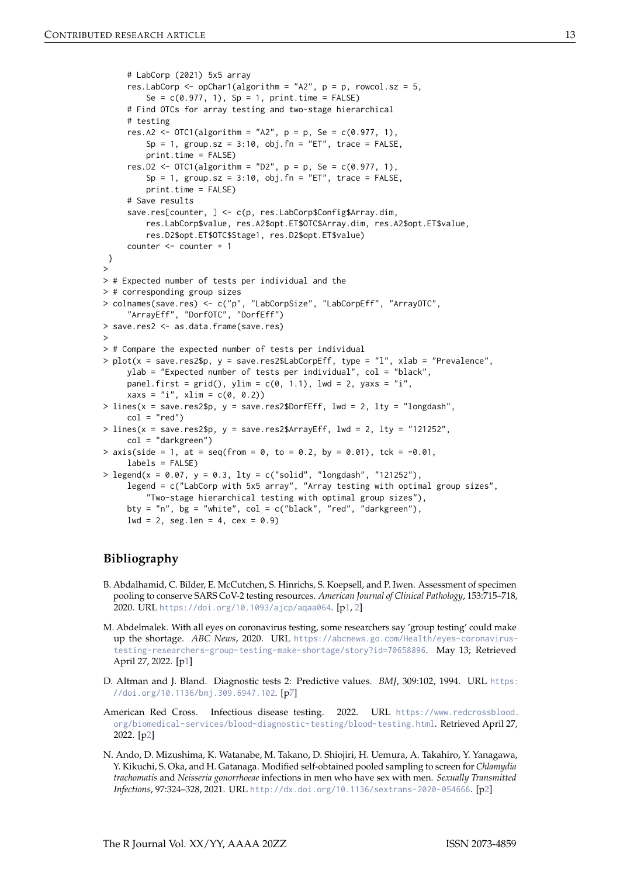```
# LabCorp (2021) 5x5 array
     res.LabCorp \leq opChar1(algorithm = "A2", p = p, rowcol.sz = 5,
         Se = c(0.977, 1), Sp = 1, print.time = FALSE)
     # Find OTCs for array testing and two-stage hierarchical
     # testing
     res.A2 <- OTC1(algorithm = "A2", p = p, Se = c(0.977, 1),Sp = 1, group.sz = 3:10, obj.fn = "ET", trace = FALSE,
         print.time = FALSE)
     res.D2 <- OTC1(algorithms = "D2", p = p, Se = c(0.977, 1),Sp = 1, group.sz = 3:10, obj.fn = "ET", trace = FALSE,
         print.time = FALSE)
     # Save results
     save.res[counter, ] <- c(p, res.LabCorp$Config$Array.dim,
         res.LabCorp$value, res.A2$opt.ET$OTC$Array.dim, res.A2$opt.ET$value,
         res.D2$opt.ET$OTC$Stage1, res.D2$opt.ET$value)
     counter <- counter + 1
 }
>
> # Expected number of tests per individual and the
> # corresponding group sizes
> colnames(save.res) <- c("p", "LabCorpSize", "LabCorpEff", "ArrayOTC",
     "ArrayEff", "DorfOTC", "DorfEff")
> save.res2 <- as.data.frame(save.res)
>
> # Compare the expected number of tests per individual
> plot(x = save.res2$p, y = save.res2$LabCorpEff, type = "l", xlab = "Prevalence",
     ylab = "Expected number of tests per individual", col = "black",
     panel.first = grid(), ylim = c(0, 1.1), 1wd = 2, yaxs = "i",x \text{ axis} = "i", x \text{ lim} = c(0, 0.2))> lines(x = save.res2$p, y = save.res2$DorfEff, lwd = 2, lty = "longdash",
     col = "red")> lines(x = save.res2$p, y = save.res2$ArrayEff, lwd = 2, ltv = "121252",
     col = "darkgreen")
> axis(side = 1, at = seq(from = 0, to = 0.2, by = 0.01), tck = -0.01,
     labels = FALSE)
> legend(x = 0.07, y = 0.3, lty = c("solid", "longdash", "121252"),
     legend = c("LabCorp with 5x5 array", "Array testing with optimal group sizes",
         "Two-stage hierarchical testing with optimal group sizes"),
     bty = "n", bg = "white", col = c("black", "red", "darkgreen"),
     1wd = 2, seg.len = 4, cex = 0.9)
```
# **Bibliography**

- <span id="page-12-0"></span>B. Abdalhamid, C. Bilder, E. McCutchen, S. Hinrichs, S. Koepsell, and P. Iwen. Assessment of specimen pooling to conserve SARS CoV-2 testing resources. *American Journal of Clinical Pathology*, 153:715–718, 2020. URL <https://doi.org/10.1093/ajcp/aqaa064>. [[p1,](#page-0-0) [2\]](#page-1-0)
- <span id="page-12-1"></span>M. Abdelmalek. With all eyes on coronavirus testing, some researchers say 'group testing' could make up the shortage. *ABC News*, 2020. URL [https://abcnews.go.com/Health/eyes-coronavirus](https://abcnews.go.com/Health/eyes-coronavirus-testing-researchers-group-testing-make-shortage/story?id=70658896)[testing-researchers-group-testing-make-shortage/story?id=70658896](https://abcnews.go.com/Health/eyes-coronavirus-testing-researchers-group-testing-make-shortage/story?id=70658896). May 13; Retrieved April 27, 2022. [[p1\]](#page-0-0)
- <span id="page-12-4"></span>D. Altman and J. Bland. Diagnostic tests 2: Predictive values. *BMJ*, 309:102, 1994. URL [https:](https://doi.org/10.1136/bmj.309.6947.102) [//doi.org/10.1136/bmj.309.6947.102](https://doi.org/10.1136/bmj.309.6947.102). [[p7\]](#page-6-0)
- <span id="page-12-3"></span>American Red Cross. Infectious disease testing. 2022. URL [https://www.redcrossblood.](https://www.redcrossblood.org/biomedical-services/blood-diagnostic-testing/blood-testing.html) [org/biomedical-services/blood-diagnostic-testing/blood-testing.html](https://www.redcrossblood.org/biomedical-services/blood-diagnostic-testing/blood-testing.html). Retrieved April 27, 2022. [[p2\]](#page-1-0)
- <span id="page-12-2"></span>N. Ando, D. Mizushima, K. Watanabe, M. Takano, D. Shiojiri, H. Uemura, A. Takahiro, Y. Yanagawa, Y. Kikuchi, S. Oka, and H. Gatanaga. Modified self-obtained pooled sampling to screen for *Chlamydia trachomatis* and *Neisseria gonorrhoeae* infections in men who have sex with men. *Sexually Transmitted Infections*, 97:324–328, 2021. URL <http://dx.doi.org/10.1136/sextrans-2020-054666>. [[p2\]](#page-1-0)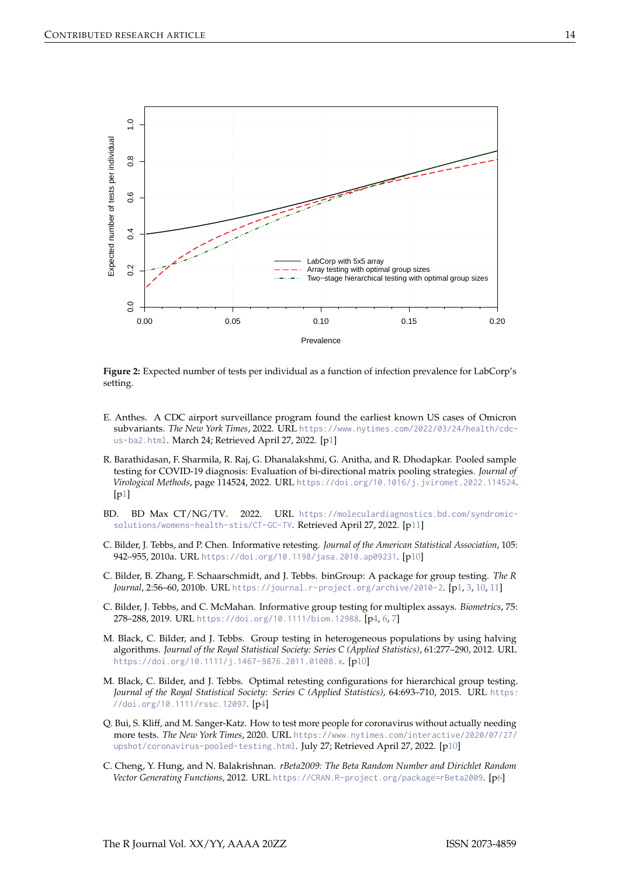<span id="page-13-10"></span>

**Figure 2:** Expected number of tests per individual as a function of infection prevalence for LabCorp's setting.

- <span id="page-13-1"></span>E. Anthes. A CDC airport surveillance program found the earliest known US cases of Omicron subvariants. *The New York Times*, 2022. URL [https://www.nytimes.com/2022/03/24/health/cdc](https://www.nytimes.com/2022/03/24/health/cdc-us-ba2.html)[us-ba2.html](https://www.nytimes.com/2022/03/24/health/cdc-us-ba2.html). March 24; Retrieved April 27, 2022. [[p1\]](#page-0-0)
- <span id="page-13-0"></span>R. Barathidasan, F. Sharmila, R. Raj, G. Dhanalakshmi, G. Anitha, and R. Dhodapkar. Pooled sample testing for COVID-19 diagnosis: Evaluation of bi-directional matrix pooling strategies. *Journal of Virological Methods*, page 114524, 2022. URL <https://doi.org/10.1016/j.jviromet.2022.114524>. [[p1\]](#page-0-0)
- <span id="page-13-9"></span>BD. BD Max CT/NG/TV. 2022. URL [https://moleculardiagnostics.bd.com/syndromic](https://moleculardiagnostics.bd.com/syndromic-solutions/womens-health-stis/CT-GC-TV)[solutions/womens-health-stis/CT-GC-TV](https://moleculardiagnostics.bd.com/syndromic-solutions/womens-health-stis/CT-GC-TV). Retrieved April 27, 2022. [[p11\]](#page-10-0)
- <span id="page-13-7"></span>C. Bilder, J. Tebbs, and P. Chen. Informative retesting. *Journal of the American Statistical Association*, 105: 942–955, 2010a. URL <https://doi.org/10.1198/jasa.2010.ap09231>. [[p10\]](#page-9-0)
- <span id="page-13-2"></span>C. Bilder, B. Zhang, F. Schaarschmidt, and J. Tebbs. binGroup: A package for group testing. *The R Journal*, 2:56–60, 2010b. URL <https://journal.r-project.org/archive/2010-2>. [[p1,](#page-0-0) [3,](#page-2-0) [10,](#page-9-0) [11\]](#page-10-0)
- <span id="page-13-4"></span>C. Bilder, J. Tebbs, and C. McMahan. Informative group testing for multiplex assays. *Biometrics*, 75: 278–288, 2019. URL <https://doi.org/10.1111/biom.12988>. [[p4,](#page-3-1) [6,](#page-5-0) [7\]](#page-6-0)
- <span id="page-13-6"></span>M. Black, C. Bilder, and J. Tebbs. Group testing in heterogeneous populations by using halving algorithms. *Journal of the Royal Statistical Society: Series C (Applied Statistics)*, 61:277–290, 2012. URL <https://doi.org/10.1111/j.1467-9876.2011.01008.x>. [[p10\]](#page-9-0)
- <span id="page-13-3"></span>M. Black, C. Bilder, and J. Tebbs. Optimal retesting configurations for hierarchical group testing. *Journal of the Royal Statistical Society: Series C (Applied Statistics)*, 64:693–710, 2015. URL [https:](https://doi.org/10.1111/rssc.12097) [//doi.org/10.1111/rssc.12097](https://doi.org/10.1111/rssc.12097). [[p4\]](#page-3-1)
- <span id="page-13-8"></span>Q. Bui, S. Kliff, and M. Sanger-Katz. How to test more people for coronavirus without actually needing more tests. *The New York Times*, 2020. URL [https://www.nytimes.com/interactive/2020/07/27/](https://www.nytimes.com/interactive/2020/07/27/upshot/coronavirus-pooled-testing.html) [upshot/coronavirus-pooled-testing.html](https://www.nytimes.com/interactive/2020/07/27/upshot/coronavirus-pooled-testing.html). July 27; Retrieved April 27, 2022. [[p10\]](#page-9-0)
- <span id="page-13-5"></span>C. Cheng, Y. Hung, and N. Balakrishnan. *rBeta2009: The Beta Random Number and Dirichlet Random Vector Generating Functions*, 2012. URL <https://CRAN.R-project.org/package=rBeta2009>. [[p6\]](#page-5-0)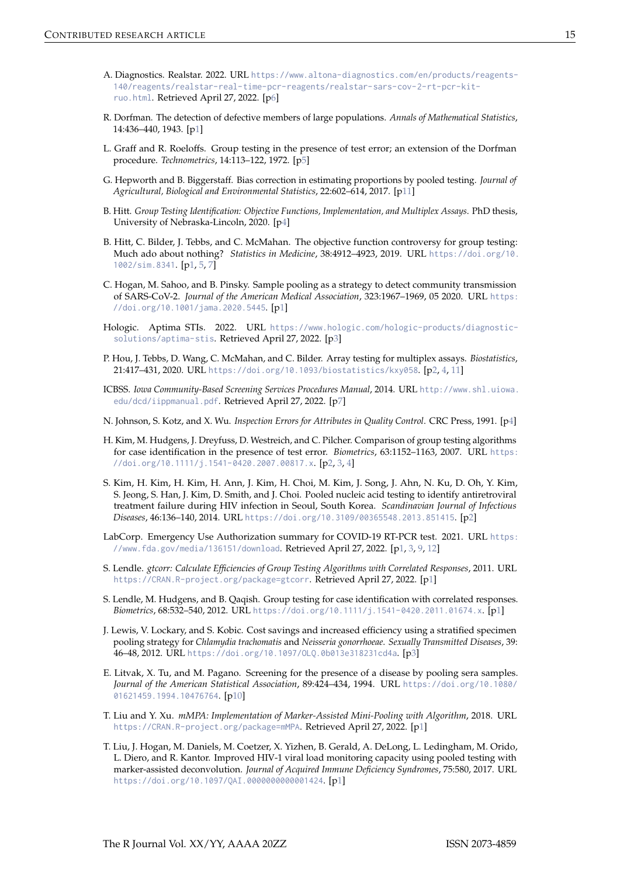- <span id="page-14-16"></span>A. Diagnostics. Realstar. 2022. URL [https://www.altona-diagnostics.com/en/products/reagents-](https://www.altona-diagnostics.com/en/products/reagents-140/reagents/realstar-real-time-pcr-reagents/realstar-sars-cov-2-rt-pcr-kit-ruo.html)[140/reagents/realstar-real-time-pcr-reagents/realstar-sars-cov-2-rt-pcr-kit](https://www.altona-diagnostics.com/en/products/reagents-140/reagents/realstar-real-time-pcr-reagents/realstar-sars-cov-2-rt-pcr-kit-ruo.html)[ruo.html](https://www.altona-diagnostics.com/en/products/reagents-140/reagents/realstar-real-time-pcr-reagents/realstar-sars-cov-2-rt-pcr-kit-ruo.html). Retrieved April 27, 2022. [[p6\]](#page-5-0)
- <span id="page-14-0"></span>R. Dorfman. The detection of defective members of large populations. *Annals of Mathematical Statistics*, 14:436–440, 1943. [[p1\]](#page-0-0)
- <span id="page-14-15"></span>L. Graff and R. Roeloffs. Group testing in the presence of test error; an extension of the Dorfman procedure. *Technometrics*, 14:113–122, 1972. [[p5\]](#page-4-0)
- <span id="page-14-19"></span>G. Hepworth and B. Biggerstaff. Bias correction in estimating proportions by pooled testing. *Journal of Agricultural, Biological and Environmental Statistics*, 22:602–614, 2017. [[p11\]](#page-10-0)
- <span id="page-14-14"></span>B. Hitt. *Group Testing Identification: Objective Functions, Implementation, and Multiplex Assays*. PhD thesis, University of Nebraska-Lincoln, 2020. [[p4\]](#page-3-1)
- <span id="page-14-1"></span>B. Hitt, C. Bilder, J. Tebbs, and C. McMahan. The objective function controversy for group testing: Much ado about nothing? *Statistics in Medicine*, 38:4912–4923, 2019. URL [https://doi.org/10.](https://doi.org/10.1002/sim.8341) [1002/sim.8341](https://doi.org/10.1002/sim.8341). [[p1,](#page-0-0) [5,](#page-4-0) [7\]](#page-6-0)
- <span id="page-14-2"></span>C. Hogan, M. Sahoo, and B. Pinsky. Sample pooling as a strategy to detect community transmission of SARS-CoV-2. *Journal of the American Medical Association*, 323:1967–1969, 05 2020. URL [https:](https://doi.org/10.1001/jama.2020.5445) [//doi.org/10.1001/jama.2020.5445](https://doi.org/10.1001/jama.2020.5445). [[p1\]](#page-0-0)
- <span id="page-14-12"></span>Hologic. Aptima STIs. 2022. URL [https://www.hologic.com/hologic-products/diagnostic](https://www.hologic.com/hologic-products/diagnostic-solutions/aptima-stis)[solutions/aptima-stis](https://www.hologic.com/hologic-products/diagnostic-solutions/aptima-stis). Retrieved April 27, 2022. [[p3\]](#page-2-0)
- <span id="page-14-9"></span>P. Hou, J. Tebbs, D. Wang, C. McMahan, and C. Bilder. Array testing for multiplex assays. *Biostatistics*, 21:417–431, 2020. URL <https://doi.org/10.1093/biostatistics/kxy058>. [[p2,](#page-1-0) [4,](#page-3-1) [11\]](#page-10-0)
- <span id="page-14-17"></span>ICBSS. *Iowa Community-Based Screening Services Procedures Manual*, 2014. URL [http://www.shl.uiowa.](http://www.shl.uiowa.edu/dcd/iippmanual.pdf) [edu/dcd/iippmanual.pdf](http://www.shl.uiowa.edu/dcd/iippmanual.pdf). Retrieved April 27, 2022. [[p7\]](#page-6-0)
- <span id="page-14-13"></span>N. Johnson, S. Kotz, and X. Wu. *Inspection Errors for Attributes in Quality Control*. CRC Press, 1991. [[p4\]](#page-3-1)
- <span id="page-14-8"></span>H. Kim, M. Hudgens, J. Dreyfuss, D. Westreich, and C. Pilcher. Comparison of group testing algorithms for case identification in the presence of test error. *Biometrics*, 63:1152–1163, 2007. URL [https:](https://doi.org/10.1111/j.1541-0420.2007.00817.x) [//doi.org/10.1111/j.1541-0420.2007.00817.x](https://doi.org/10.1111/j.1541-0420.2007.00817.x). [[p2,](#page-1-0) [3,](#page-2-0) [4\]](#page-3-1)
- <span id="page-14-10"></span>S. Kim, H. Kim, H. Kim, H. Ann, J. Kim, H. Choi, M. Kim, J. Song, J. Ahn, N. Ku, D. Oh, Y. Kim, S. Jeong, S. Han, J. Kim, D. Smith, and J. Choi. Pooled nucleic acid testing to identify antiretroviral treatment failure during HIV infection in Seoul, South Korea. *Scandinavian Journal of Infectious Diseases*, 46:136–140, 2014. URL <https://doi.org/10.3109/00365548.2013.851415>. [[p2\]](#page-1-0)
- <span id="page-14-3"></span>LabCorp. Emergency Use Authorization summary for COVID-19 RT-PCR test. 2021. URL [https:](https://www.fda.gov/media/136151/download) [//www.fda.gov/media/136151/download](https://www.fda.gov/media/136151/download). Retrieved April 27, 2022. [[p1,](#page-0-0) [3,](#page-2-0) [9,](#page-8-1) [12\]](#page-11-0)
- <span id="page-14-4"></span>S. Lendle. *gtcorr: Calculate Efficiencies of Group Testing Algorithms with Correlated Responses*, 2011. URL <https://CRAN.R-project.org/package=gtcorr>. Retrieved April 27, 2022. [[p1\]](#page-0-0)
- <span id="page-14-5"></span>S. Lendle, M. Hudgens, and B. Qaqish. Group testing for case identification with correlated responses. *Biometrics*, 68:532–540, 2012. URL <https://doi.org/10.1111/j.1541-0420.2011.01674.x>. [[p1\]](#page-0-0)
- <span id="page-14-11"></span>J. Lewis, V. Lockary, and S. Kobic. Cost savings and increased efficiency using a stratified specimen pooling strategy for *Chlamydia trachomatis* and *Neisseria gonorrhoeae*. *Sexually Transmitted Diseases*, 39: 46–48, 2012. URL <https://doi.org/10.1097/OLQ.0b013e318231cd4a>. [[p3\]](#page-2-0)
- <span id="page-14-18"></span>E. Litvak, X. Tu, and M. Pagano. Screening for the presence of a disease by pooling sera samples. *Journal of the American Statistical Association*, 89:424–434, 1994. URL [https://doi.org/10.1080/](https://doi.org/10.1080/01621459.1994.10476764) [01621459.1994.10476764](https://doi.org/10.1080/01621459.1994.10476764). [[p10\]](#page-9-0)
- <span id="page-14-6"></span>T. Liu and Y. Xu. *mMPA: Implementation of Marker-Assisted Mini-Pooling with Algorithm*, 2018. URL <https://CRAN.R-project.org/package=mMPA>. Retrieved April 27, 2022. [[p1\]](#page-0-0)
- <span id="page-14-7"></span>T. Liu, J. Hogan, M. Daniels, M. Coetzer, X. Yizhen, B. Gerald, A. DeLong, L. Ledingham, M. Orido, L. Diero, and R. Kantor. Improved HIV-1 viral load monitoring capacity using pooled testing with marker-assisted deconvolution. *Journal of Acquired Immune Deficiency Syndromes*, 75:580, 2017. URL <https://doi.org/10.1097/QAI.0000000000001424>. [[p1\]](#page-0-0)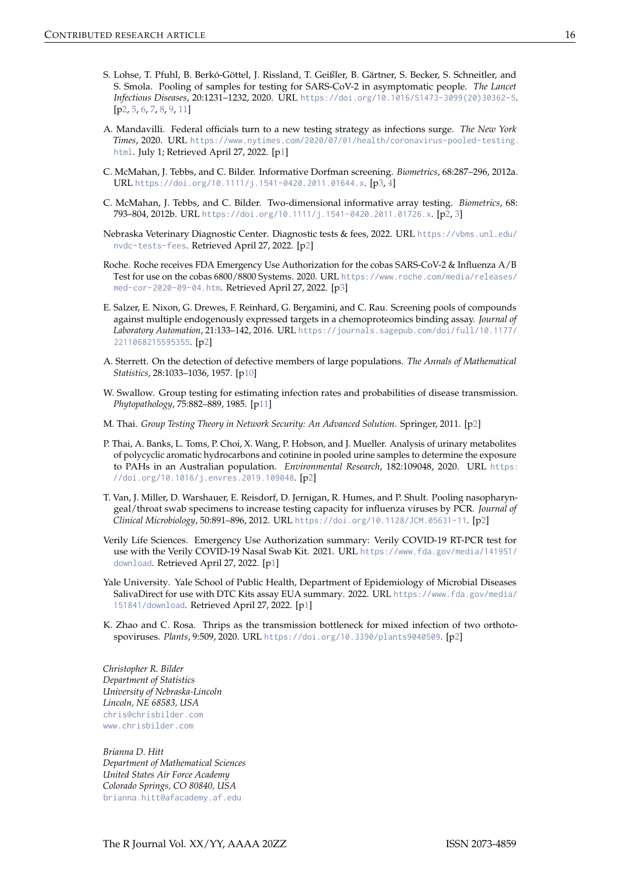- <span id="page-15-10"></span>S. Lohse, T. Pfuhl, B. Berkó-Göttel, J. Rissland, T. Geißler, B. Gärtner, S. Becker, S. Schneitler, and S. Smola. Pooling of samples for testing for SARS-CoV-2 in asymptomatic people. *The Lancet Infectious Diseases*, 20:1231–1232, 2020. URL [https://doi.org/10.1016/S1473-3099\(20\)30362-5](https://doi.org/10.1016/S1473-3099(20)30362-5). [[p2,](#page-1-0) [5,](#page-4-0) [6,](#page-5-0) [7,](#page-6-0) [8,](#page-7-0) [9,](#page-8-1) [11\]](#page-10-0)
- <span id="page-15-0"></span>A. Mandavilli. Federal officials turn to a new testing strategy as infections surge. *The New York Times*, 2020. URL [https://www.nytimes.com/2020/07/01/health/coronavirus-pooled-testing.](https://www.nytimes.com/2020/07/01/health/coronavirus-pooled-testing.html) [html](https://www.nytimes.com/2020/07/01/health/coronavirus-pooled-testing.html). July 1; Retrieved April 27, 2022. [[p1\]](#page-0-0)
- <span id="page-15-11"></span>C. McMahan, J. Tebbs, and C. Bilder. Informative Dorfman screening. *Biometrics*, 68:287–296, 2012a. URL <https://doi.org/10.1111/j.1541-0420.2011.01644.x>. [[p3,](#page-2-0) [4\]](#page-3-1)
- <span id="page-15-3"></span>C. McMahan, J. Tebbs, and C. Bilder. Two-dimensional informative array testing. *Biometrics*, 68: 793–804, 2012b. URL <https://doi.org/10.1111/j.1541-0420.2011.01726.x>. [[p2,](#page-1-0) [3\]](#page-2-0)
- <span id="page-15-5"></span>Nebraska Veterinary Diagnostic Center. Diagnostic tests & fees, 2022. URL [https://vbms.unl.edu/](https://vbms.unl.edu/nvdc-tests-fees) [nvdc-tests-fees](https://vbms.unl.edu/nvdc-tests-fees). Retrieved April 27, 2022. [[p2\]](#page-1-0)
- <span id="page-15-12"></span>Roche. Roche receives FDA Emergency Use Authorization for the cobas SARS-CoV-2 & Influenza A/B Test for use on the cobas 6800/8800 Systems. 2020. URL [https://www.roche.com/media/releases/](https://www.roche.com/media/releases/med-cor-2020-09-04.htm) [med-cor-2020-09-04.htm](https://www.roche.com/media/releases/med-cor-2020-09-04.htm). Retrieved April 27, 2022. [[p3\]](#page-2-0)
- <span id="page-15-8"></span>E. Salzer, E. Nixon, G. Drewes, F. Reinhard, G. Bergamini, and C. Rau. Screening pools of compounds against multiple endogenously expressed targets in a chemoproteomics binding assay. *Journal of Laboratory Automation*, 21:133–142, 2016. URL [https://journals.sagepub.com/doi/full/10.1177/](https://journals.sagepub.com/doi/full/10.1177/2211068215595355) [2211068215595355](https://journals.sagepub.com/doi/full/10.1177/2211068215595355). [[p2\]](#page-1-0)
- <span id="page-15-13"></span>A. Sterrett. On the detection of defective members of large populations. *The Annals of Mathematical Statistics*, 28:1033–1036, 1957. [[p10\]](#page-9-0)
- <span id="page-15-14"></span>W. Swallow. Group testing for estimating infection rates and probabilities of disease transmission. *Phytopathology*, 75:882–889, 1985. [[p11\]](#page-10-0)
- <span id="page-15-9"></span>M. Thai. *Group Testing Theory in Network Security: An Advanced Solution*. Springer, 2011. [[p2\]](#page-1-0)
- <span id="page-15-6"></span>P. Thai, A. Banks, L. Toms, P. Choi, X. Wang, P. Hobson, and J. Mueller. Analysis of urinary metabolites of polycyclic aromatic hydrocarbons and cotinine in pooled urine samples to determine the exposure to PAHs in an Australian population. *Environmental Research*, 182:109048, 2020. URL [https:](https://doi.org/10.1016/j.envres.2019.109048) [//doi.org/10.1016/j.envres.2019.109048](https://doi.org/10.1016/j.envres.2019.109048). [[p2\]](#page-1-0)
- <span id="page-15-4"></span>T. Van, J. Miller, D. Warshauer, E. Reisdorf, D. Jernigan, R. Humes, and P. Shult. Pooling nasopharyngeal/throat swab specimens to increase testing capacity for influenza viruses by PCR. *Journal of Clinical Microbiology*, 50:891–896, 2012. URL <https://doi.org/10.1128/JCM.05631-11>. [[p2\]](#page-1-0)
- <span id="page-15-1"></span>Verily Life Sciences. Emergency Use Authorization summary: Verily COVID-19 RT-PCR test for use with the Verily COVID-19 Nasal Swab Kit. 2021. URL [https://www.fda.gov/media/141951/](https://www.fda.gov/media/141951/download) [download](https://www.fda.gov/media/141951/download). Retrieved April 27, 2022. [[p1\]](#page-0-0)
- <span id="page-15-2"></span>Yale University. Yale School of Public Health, Department of Epidemiology of Microbial Diseases SalivaDirect for use with DTC Kits assay EUA summary. 2022. URL [https://www.fda.gov/media/](https://www.fda.gov/media/151841/download) [151841/download](https://www.fda.gov/media/151841/download). Retrieved April 27, 2022. [[p1\]](#page-0-0)
- <span id="page-15-7"></span>K. Zhao and C. Rosa. Thrips as the transmission bottleneck for mixed infection of two orthotospoviruses. *Plants*, 9:509, 2020. URL <https://doi.org/10.3390/plants9040509>. [[p2\]](#page-1-0)

*Christopher R. Bilder Department of Statistics University of Nebraska-Lincoln Lincoln, NE 68583, USA* [chris@chrisbilder.com](mailto:chris@chrisbilder.com) <www.chrisbilder.com>

*Brianna D. Hitt Department of Mathematical Sciences United States Air Force Academy Colorado Springs, CO 80840, USA* [brianna.hitt@afacademy.af.edu](mailto:brianna.hitt@afacademy.af.edu)